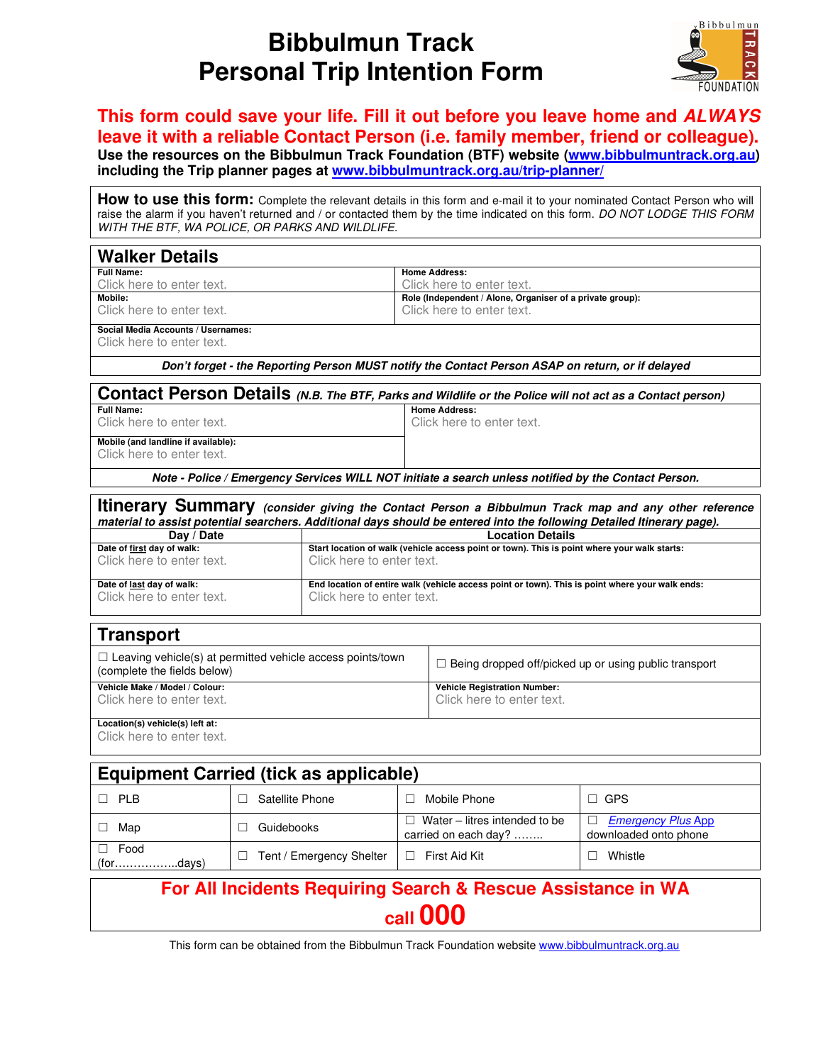## **Bibbulmun Track Personal Trip Intention Form**



## **This form could save your life. Fill it out before you leave home and ALWAYS leave it with a reliable Contact Person (i.e. family member, friend or colleague).**

**Use the resources on the Bibbulmun Track Foundation (BTF) website (www.bibbulmuntrack.org.au) including the Trip planner pages at www.bibbulmuntrack.org.au/trip-planner/**

How to use this form: Complete the relevant details in this form and e-mail it to your nominated Contact Person who will raise the alarm if you haven't returned and / or contacted them by the time indicated on this form. DO NOT LODGE THIS FORM WITH THE BTF, WA POLICE, OR PARKS AND WILDLIFE.

| <b>Walker Details</b>                                                                                                  |                            |                                                                                                                         |                                                                                                 |                                                                                        |                                                          |  |  |  |  |
|------------------------------------------------------------------------------------------------------------------------|----------------------------|-------------------------------------------------------------------------------------------------------------------------|-------------------------------------------------------------------------------------------------|----------------------------------------------------------------------------------------|----------------------------------------------------------|--|--|--|--|
| Full Name:                                                                                                             |                            |                                                                                                                         |                                                                                                 | <b>Home Address:</b>                                                                   |                                                          |  |  |  |  |
| Click here to enter text.<br>Mobile:                                                                                   |                            |                                                                                                                         |                                                                                                 | Click here to enter text.                                                              |                                                          |  |  |  |  |
| Click here to enter text.                                                                                              |                            |                                                                                                                         |                                                                                                 | Role (Independent / Alone, Organiser of a private group):<br>Click here to enter text. |                                                          |  |  |  |  |
| Social Media Accounts / Usernames:<br>Click here to enter text.                                                        |                            |                                                                                                                         |                                                                                                 |                                                                                        |                                                          |  |  |  |  |
| Don't forget - the Reporting Person MUST notify the Contact Person ASAP on return, or if delayed                       |                            |                                                                                                                         |                                                                                                 |                                                                                        |                                                          |  |  |  |  |
| Contact Person Details (N.B. The BTF, Parks and Wildlife or the Police will not act as a Contact person)               |                            |                                                                                                                         |                                                                                                 |                                                                                        |                                                          |  |  |  |  |
| Full Name:<br>Click here to enter text.                                                                                |                            |                                                                                                                         | <b>Home Address:</b><br>Click here to enter text.                                               |                                                                                        |                                                          |  |  |  |  |
|                                                                                                                        |                            |                                                                                                                         |                                                                                                 |                                                                                        |                                                          |  |  |  |  |
| Mobile (and landline if available):<br>Click here to enter text.                                                       |                            |                                                                                                                         |                                                                                                 |                                                                                        |                                                          |  |  |  |  |
| Note - Police / Emergency Services WILL NOT initiate a search unless notified by the Contact Person.                   |                            |                                                                                                                         |                                                                                                 |                                                                                        |                                                          |  |  |  |  |
| <b>Itinerary Summary</b> (consider giving the Contact Person a Bibbulmun Track map and any other reference             |                            |                                                                                                                         |                                                                                                 |                                                                                        |                                                          |  |  |  |  |
| material to assist potential searchers. Additional days should be entered into the following Detailed Itinerary page). |                            |                                                                                                                         |                                                                                                 |                                                                                        |                                                          |  |  |  |  |
| Day / Date<br>Date of first day of walk:                                                                               |                            | <b>Location Details</b><br>Start location of walk (vehicle access point or town). This is point where your walk starts: |                                                                                                 |                                                                                        |                                                          |  |  |  |  |
| Click here to enter text.                                                                                              |                            | Click here to enter text.                                                                                               |                                                                                                 |                                                                                        |                                                          |  |  |  |  |
| Date of last day of walk:<br>Click here to enter text.<br>Click here to enter text.                                    |                            |                                                                                                                         | End location of entire walk (vehicle access point or town). This is point where your walk ends: |                                                                                        |                                                          |  |  |  |  |
| <b>Transport</b>                                                                                                       |                            |                                                                                                                         |                                                                                                 |                                                                                        |                                                          |  |  |  |  |
| $\Box$ Leaving vehicle(s) at permitted vehicle access points/town<br>(complete the fields below)                       |                            |                                                                                                                         |                                                                                                 | $\Box$ Being dropped off/picked up or using public transport                           |                                                          |  |  |  |  |
| Vehicle Make / Model / Colour:<br>Click here to enter text.                                                            |                            |                                                                                                                         |                                                                                                 | <b>Vehicle Registration Number:</b><br>Click here to enter text.                       |                                                          |  |  |  |  |
| Location(s) vehicle(s) left at:<br>Click here to enter text.                                                           |                            |                                                                                                                         |                                                                                                 |                                                                                        |                                                          |  |  |  |  |
| <b>Equipment Carried (tick as applicable)</b>                                                                          |                            |                                                                                                                         |                                                                                                 |                                                                                        |                                                          |  |  |  |  |
| $\Box$ PLB                                                                                                             | Satellite Phone<br>П.      |                                                                                                                         |                                                                                                 | $\Box$ Mobile Phone                                                                    | $\Box$ GPS                                               |  |  |  |  |
| $\Box$ Map                                                                                                             | Guidebooks<br>П.           |                                                                                                                         |                                                                                                 | $\Box$ Water – litres intended to be<br>carried on each day?                           | <b>Emergency Plus App</b><br>П.<br>downloaded onto phone |  |  |  |  |
| Food<br>П.<br>(fordays)                                                                                                | □ Tent / Emergency Shelter |                                                                                                                         |                                                                                                 | $\Box$ First Aid Kit                                                                   | $\Box$ Whistle                                           |  |  |  |  |
| For All Incidents Requiring Search & Rescue Assistance in WA<br>call 000                                               |                            |                                                                                                                         |                                                                                                 |                                                                                        |                                                          |  |  |  |  |

This form can be obtained from the Bibbulmun Track Foundation website www.bibbulmuntrack.org.au